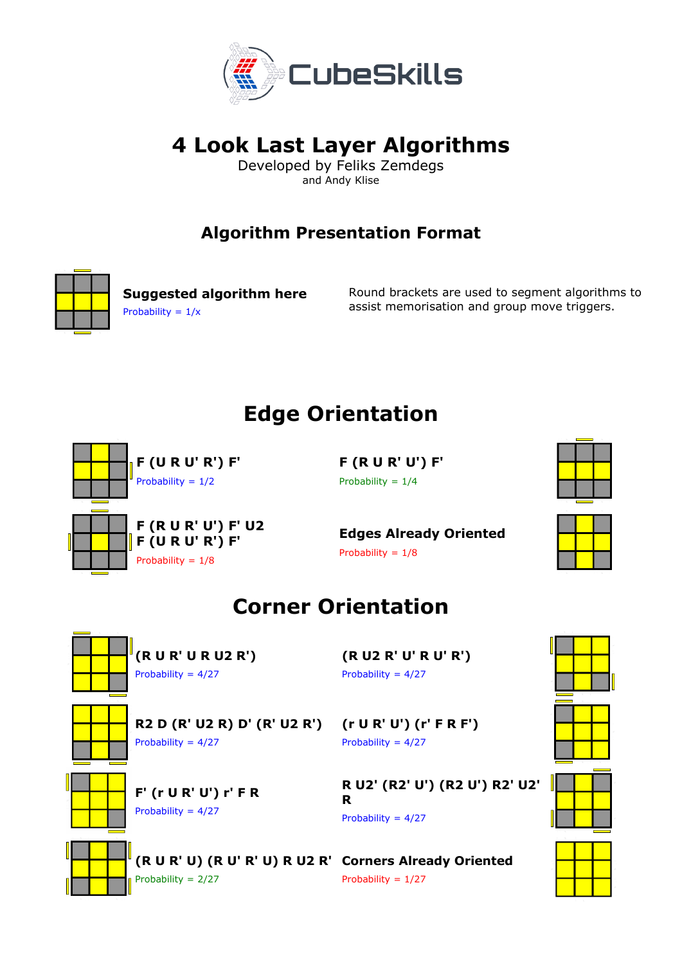

# **4 Look Last Layer Algorithms**

Developed by Feliks Zemdegs and Andy Klise

#### **Algorithm Presentation Format**



**Suggested algorithm here**  Probability =  $1/x$ 

Round brackets are used to segment algorithms to assist memorisation and group move triggers.

## **Edge Orientation**



**F (R U R' U') F'** Probability =  $1/4$ 

**Edges Already Oriented** Probability =  $1/8$ 



### **Corner Orientation**



**(R U R' U R U2 R')** Probability = 4/27

**F' (r U R' U') r' F R**

Probability = 4/27

**(R U2 R' U' R U' R')** Probability =  $4/27$ 

**R2 D (R' U2 R) D' (R' U2 R')** Probability = 4/27

**(r U R' U') (r' F R F')**  Probability = 4/27

**R U2' (R2' U') (R2 U') R2' U2' R** Probability =  $4/27$ 



**(R U R' U) (R U' R' U) R U2 R' Corners Already Oriented** Probability = 2/27

Probability = 1/27